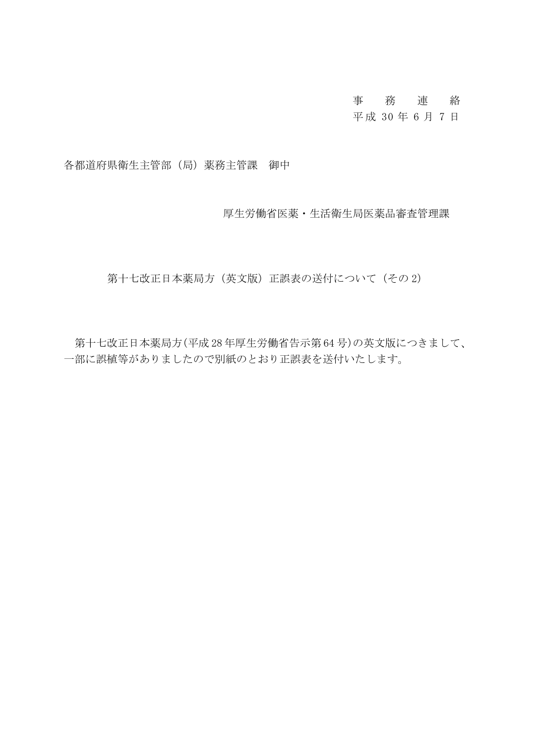# 事務連 絡

## 平 成 30 年 6 月 7 日

各都道府県衛生主管部(局)薬務主管課 御中

厚生労働省医薬・生活衛生局医薬品審査管理課

第十七改正日本薬局方(英文版)正誤表の送付について(その2)

第十七改正日本薬局方(平成 28 年厚生労働省告示第 64 号)の英文版につきまして、 一部に誤植等がありましたので別紙のとおり正誤表を送付いたします。